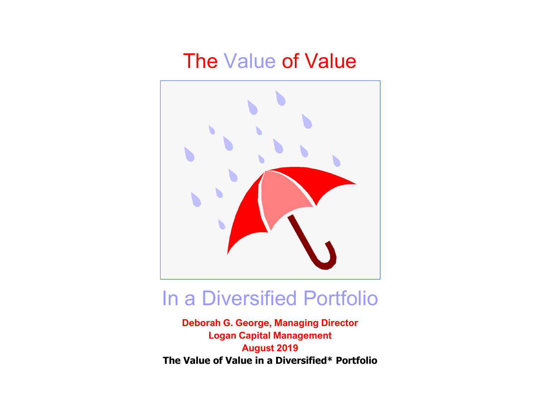## The Value of Value



## In a Diversified Portfolio

Deborah G. George, Managing Director Logan Capital Management August 2019 The Value of Value in a Diversified\* Portfolio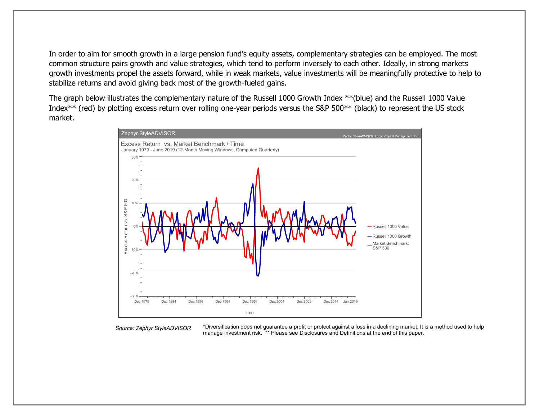In order to aim for smooth growth in a large pension fund's equity assets, complementary strategies can be employed. The most common structure pairs growth and value strategies, which tend to perform inversely to each other. Ideally, in strong markets growth investments propel the assets forward, while in weak markets, value investments will be meaningfully protective to help to stabilize returns and avoid giving back most of the growth-fueled gains.

The graph below illustrates the complementary nature of the Russell 1000 Growth Index \*\*(blue) and the Russell 1000 Value Index\*\* (red) by plotting excess return over rolling one-year periods versus the S&P 500\*\* (black) to represent the US stock market.



Source: Zephyr StyleADVISOR

\*Diversification does not guarantee a profit or protect against a loss in a declining market. It is a method used to help manage investment risk. \*\* Please see Disclosures and Definitions at the end of this paper.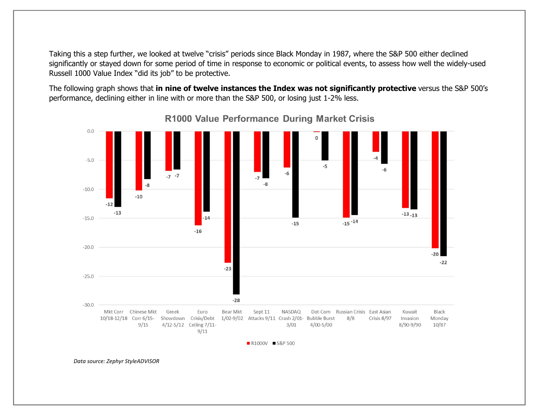Taking this a step further, we looked at twelve "crisis" periods since Black Monday in 1987, where the S&P 500 either declined significantly or stayed down for some period of time in response to economic or political events, to assess how well the widely-used Russell 1000 Value Index "did its job" to be protective.

The following graph shows that in nine of twelve instances the Index was not significantly protective versus the S&P 500's performance, declining either in line with or more than the S&P 500, or losing just 1-2% less.



R1000 Value Performance During Market Crisis

■ R1000V ■ S&P 500

Data source: Zephyr StyleADVISOR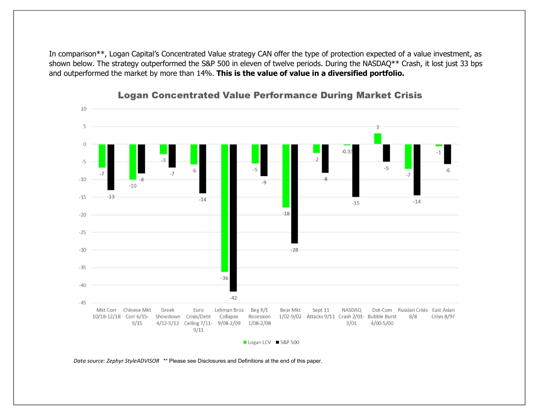In comparison\*\*, Logan Capital's Concentrated Value strategy CAN offer the type of protection expected of a value investment, as shown below. The strategy outperformed the S&P 500 in eleven of twelve periods. During the NASDAQ\*\* Crash, it lost just 33 bps and outperformed the market by more than 14%. This is the value of value in a diversified portfolio.

![](_page_3_Figure_1.jpeg)

## **Logan Concentrated Value Performance During Market Crisis**

Data source: Zephyr StyleADVISOR \*\* Please see Disclosures and Definitions at the end of this paper.